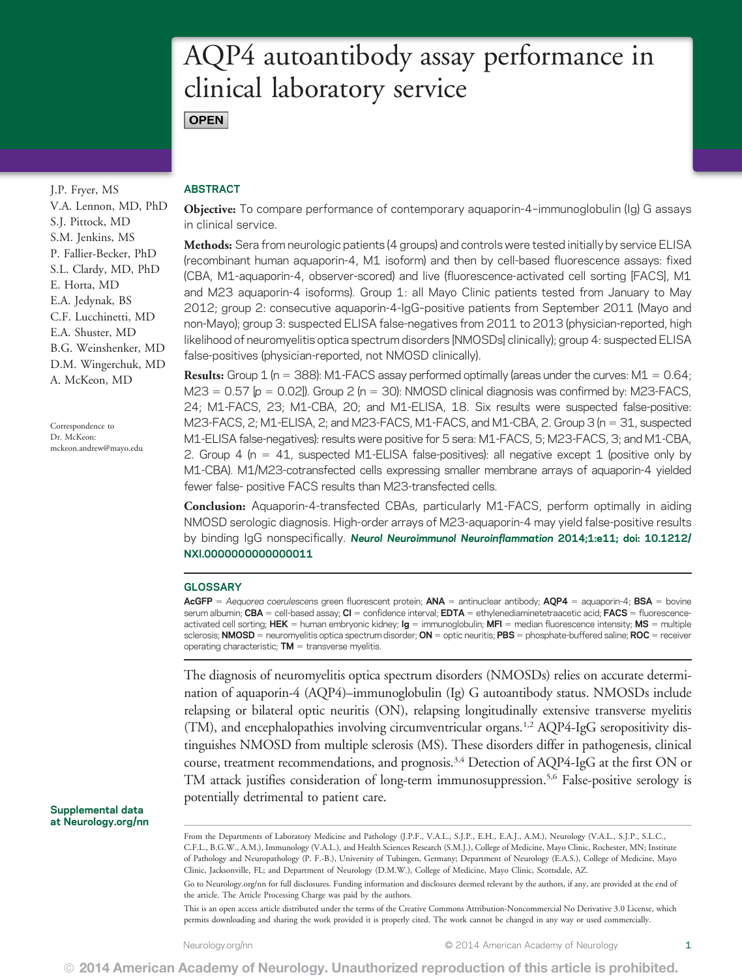# AQP4 autoantibody assay performance in clinical laboratory service **OPEN**

J.P. Fryer, MS V.A. Lennon, MD, PhD S.J. Pittock, MD S.M. Jenkins, MS P. Fallier-Becker, PhD S.L. Clardy, MD, PhD E. Horta, MD E.A. Jedynak, BS C.F. Lucchinetti, MD E.A. Shuster, MD B.G. Weinshenker, MD D.M. Wingerchuk, MD A. McKeon, MD

Correspondence to Dr. McKeon: [mckeon.andrew@mayo.edu](mailto:mckeon.andrew@mayo.edu)

## ABSTRACT

Objective: To compare performance of contemporary aquaporin-4–immunoglobulin (Ig) G assays in clinical service.

Methods: Sera from neurologic patients (4 groups) and controls were tested initially by service ELISA (recombinant human aquaporin-4, M1 isoform) and then by cell-based fluorescence assays: fixed (CBA, M1-aquaporin-4, observer-scored) and live (fluorescence-activated cell sorting [FACS], M1 and M23 aquaporin-4 isoforms). Group 1: all Mayo Clinic patients tested from January to May 2012; group 2: consecutive aquaporin-4-IgG–positive patients from September 2011 (Mayo and non-Mayo); group 3: suspected ELISA false-negatives from 2011 to 2013 (physician-reported, high likelihood of neuromyelitis optica spectrum disorders [NMOSDs] clinically); group 4: suspected ELISA false-positives (physician-reported, not NMOSD clinically).

**Results:** Group 1 (n = 388): M1-FACS assay performed optimally (areas under the curves:  $M1 = 0.64$ ;  $M23 = 0.57$  [p = 0.02]). Group 2 (n = 30): NMOSD clinical diagnosis was confirmed by: M23-FACS, 24; M1-FACS, 23; M1-CBA, 20; and M1-ELISA, 18. Six results were suspected false-positive: M23-FACS, 2; M1-ELISA, 2; and M23-FACS, M1-FACS, and M1-CBA, 2. Group 3 ( $n = 31$ , suspected M1-ELISA false-negatives): results were positive for 5 sera: M1-FACS, 5; M23-FACS, 3; and M1-CBA, 2. Group 4 (n = 41, suspected M1-ELISA false-positives): all negative except 1 (positive only by M1-CBA). M1/M23-cotransfected cells expressing smaller membrane arrays of aquaporin-4 yielded fewer false- positive FACS results than M23-transfected cells.

Conclusion: Aquaporin-4-transfected CBAs, particularly M1-FACS, perform optimally in aiding NMOSD serologic diagnosis. High-order arrays of M23-aquaporin-4 may yield false-positive results by binding IgG nonspecifically. Neurol Neuroimmunol Neuroinflammation 2014;1:e11; doi: 10.1212/ NXI.0000000000000011

### **GLOSSARY**

AcGFP = Aequorea coerulescens green fluorescent protein;  $ANA =$  antinuclear antibody;  $AQP4 =$  aquaporin-4; BSA = bovine serum albumin; CBA = cell-based assay; CI = confidence interval; EDTA = ethylenediaminetetraacetic acid; FACS = fluorescenceactivated cell sorting; HEK = human embryonic kidney;  $\lg$  = immunoglobulin; MFI = median fluorescence intensity; MS = multiple sclerosis; NMOSD = neuromyelitis optica spectrum disorder; ON = optic neuritis; PBS = phosphate-buffered saline; ROC = receiver operating characteristic;  $TM =$  transverse myelitis.

The diagnosis of neuromyelitis optica spectrum disorders (NMOSDs) relies on accurate determination of aquaporin-4 (AQP4)–immunoglobulin (Ig) G autoantibody status. NMOSDs include relapsing or bilateral optic neuritis (ON), relapsing longitudinally extensive transverse myelitis (TM), and encephalopathies involving circumventricular organs.1,2 AQP4-IgG seropositivity distinguishes NMOSD from multiple sclerosis (MS). These disorders differ in pathogenesis, clinical course, treatment recommendations, and prognosis.<sup>3,4</sup> Detection of AQP4-IgG at the first ON or TM attack justifies consideration of long-term immunosuppression.5,6 False-positive serology is potentially detrimental to patient care.

Supplemental data at [Neurology.org/nn](http://Neurology.org/nn)

Go to [Neurology.org/nn](http://nn.Neurology.org/lookup/doi/10.1212/NXI.0000000000000011) for full disclosures. Funding information and disclosures deemed relevant by the authors, if any, are provided at the end of the article. The Article Processing Charge was paid by the authors.

This is an open access article distributed under the terms of the Creative Commons Attribution-Noncommercial No Derivative 3.0 License, which permits downloading and sharing the work provided it is properly cited. The work cannot be changed in any way or used commercially.

From the Departments of Laboratory Medicine and Pathology (J.P.F., V.A.L., S.J.P., E.H., E.A.J., A.M.), Neurology (V.A.L., S.J.P., S.L.C., C.F.L., B.G.W., A.M.), Immunology (V.A.L.), and Health Sciences Research (S.M.J.), College of Medicine, Mayo Clinic, Rochester, MN; Institute of Pathology and Neuropathology (P. F.-B.), University of Tubingen, Germany; Department of Neurology (E.A.S.), College of Medicine, Mayo Clinic, Jacksonville, FL; and Department of Neurology (D.M.W.), College of Medicine, Mayo Clinic, Scottsdale, AZ.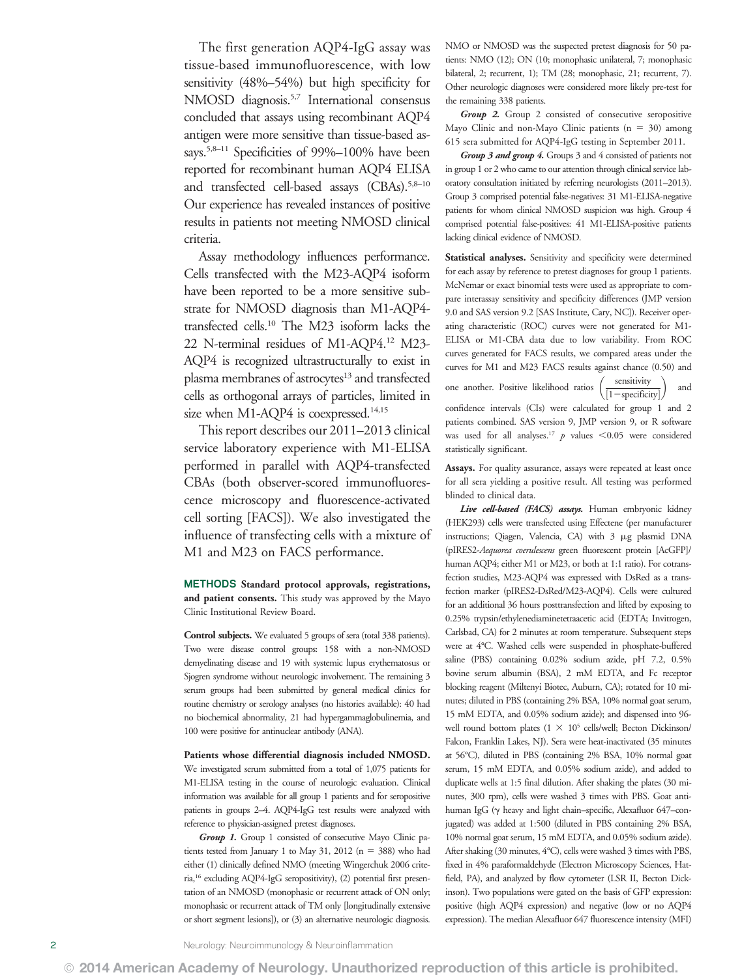The first generation AQP4-IgG assay was tissue-based immunofluorescence, with low sensitivity (48%–54%) but high specificity for NMOSD diagnosis.<sup>5,7</sup> International consensus concluded that assays using recombinant AQP4 antigen were more sensitive than tissue-based assays.<sup>5,8–11</sup> Specificities of 99%–100% have been reported for recombinant human AQP4 ELISA and transfected cell-based assays (CBAs).<sup>5,8-10</sup> Our experience has revealed instances of positive results in patients not meeting NMOSD clinical criteria.

Assay methodology influences performance. Cells transfected with the M23-AQP4 isoform have been reported to be a more sensitive substrate for NMOSD diagnosis than M1-AQP4 transfected cells.10 The M23 isoform lacks the 22 N-terminal residues of M1-AQP4.12 M23- AQP4 is recognized ultrastructurally to exist in plasma membranes of astrocytes<sup>13</sup> and transfected cells as orthogonal arrays of particles, limited in size when M1-AQP4 is coexpressed.<sup>14,15</sup>

This report describes our 2011–2013 clinical service laboratory experience with M1-ELISA performed in parallel with AQP4-transfected CBAs (both observer-scored immunofluorescence microscopy and fluorescence-activated cell sorting [FACS]). We also investigated the influence of transfecting cells with a mixture of M1 and M23 on FACS performance.

METHODS Standard protocol approvals, registrations, and patient consents. This study was approved by the Mayo Clinic Institutional Review Board.

Control subjects. We evaluated 5 groups of sera (total 338 patients). Two were disease control groups: 158 with a non-NMOSD demyelinating disease and 19 with systemic lupus erythematosus or Sjogren syndrome without neurologic involvement. The remaining 3 serum groups had been submitted by general medical clinics for routine chemistry or serology analyses (no histories available): 40 had no biochemical abnormality, 21 had hypergammaglobulinemia, and 100 were positive for antinuclear antibody (ANA).

Patients whose differential diagnosis included NMOSD.

We investigated serum submitted from a total of 1,075 patients for M1-ELISA testing in the course of neurologic evaluation. Clinical information was available for all group 1 patients and for seropositive patients in groups 2–4. AQP4-IgG test results were analyzed with reference to physician-assigned pretest diagnoses.

Group 1. Group 1 consisted of consecutive Mayo Clinic patients tested from January 1 to May 31, 2012 (n = 388) who had either (1) clinically defined NMO (meeting Wingerchuk 2006 criteria,16 excluding AQP4-IgG seropositivity), (2) potential first presentation of an NMOSD (monophasic or recurrent attack of ON only; monophasic or recurrent attack of TM only [longitudinally extensive or short segment lesions]), or (3) an alternative neurologic diagnosis. NMO or NMOSD was the suspected pretest diagnosis for 50 patients: NMO (12); ON (10; monophasic unilateral, 7; monophasic bilateral, 2; recurrent, 1); TM (28; monophasic, 21; recurrent, 7). Other neurologic diagnoses were considered more likely pre-test for the remaining 338 patients.

Group 2. Group 2 consisted of consecutive seropositive Mayo Clinic and non-Mayo Clinic patients  $(n = 30)$  among 615 sera submitted for AQP4-IgG testing in September 2011.

Group 3 and group 4. Groups 3 and 4 consisted of patients not in group 1 or 2 who came to our attention through clinical service laboratory consultation initiated by referring neurologists (2011–2013). Group 3 comprised potential false-negatives: 31 M1-ELISA-negative patients for whom clinical NMOSD suspicion was high. Group 4 comprised potential false-positives: 41 M1-ELISA-positive patients lacking clinical evidence of NMOSD.

Statistical analyses. Sensitivity and specificity were determined for each assay by reference to pretest diagnoses for group 1 patients. McNemar or exact binomial tests were used as appropriate to compare interassay sensitivity and specificity differences (JMP version 9.0 and SAS version 9.2 [SAS Institute, Cary, NC]). Receiver operating characteristic (ROC) curves were not generated for M1- ELISA or M1-CBA data due to low variability. From ROC curves generated for FACS results, we compared areas under the curves for M1 and M23 FACS results against chance (0.50) and

one another. Positive likelihood ratios  $\left(\frac{\text{sensitivity}}{[1-\text{specificity}]} \right)$  $\setminus$ and confidence intervals (CIs) were calculated for group 1 and 2 patients combined. SAS version 9, JMP version 9, or R software was used for all analyses.<sup>17</sup>  $p$  values <0.05 were considered statistically significant.

Assays. For quality assurance, assays were repeated at least once for all sera yielding a positive result. All testing was performed blinded to clinical data.

Live cell-based (FACS) assays. Human embryonic kidney (HEK293) cells were transfected using Effectene (per manufacturer instructions; Qiagen, Valencia, CA) with 3 µg plasmid DNA (pIRES2-Aequorea coerulescens green fluorescent protein [AcGFP]/ human AQP4; either M1 or M23, or both at 1:1 ratio). For cotransfection studies, M23-AQP4 was expressed with DsRed as a transfection marker (pIRES2-DsRed/M23-AQP4). Cells were cultured for an additional 36 hours posttransfection and lifted by exposing to 0.25% trypsin/ethylenediaminetetraacetic acid (EDTA; Invitrogen, Carlsbad, CA) for 2 minutes at room temperature. Subsequent steps were at 4°C. Washed cells were suspended in phosphate-buffered saline (PBS) containing 0.02% sodium azide, pH 7.2, 0.5% bovine serum albumin (BSA), 2 mM EDTA, and Fc receptor blocking reagent (Miltenyi Biotec, Auburn, CA); rotated for 10 minutes; diluted in PBS (containing 2% BSA, 10% normal goat serum, 15 mM EDTA, and 0.05% sodium azide); and dispensed into 96 well round bottom plates  $(1 \times 10^5 \text{ cells/well}; \text{Becton Dickinson}/$ Falcon, Franklin Lakes, NJ). Sera were heat-inactivated (35 minutes at 56°C), diluted in PBS (containing 2% BSA, 10% normal goat serum, 15 mM EDTA, and 0.05% sodium azide), and added to duplicate wells at 1:5 final dilution. After shaking the plates (30 minutes, 300 rpm), cells were washed 3 times with PBS. Goat antihuman IgG (g heavy and light chain–specific, Alexafluor 647–conjugated) was added at 1:500 (diluted in PBS containing 2% BSA, 10% normal goat serum, 15 mM EDTA, and 0.05% sodium azide). After shaking (30 minutes, 4°C), cells were washed 3 times with PBS, fixed in 4% paraformaldehyde (Electron Microscopy Sciences, Hatfield, PA), and analyzed by flow cytometer (LSR II, Becton Dickinson). Two populations were gated on the basis of GFP expression: positive (high AQP4 expression) and negative (low or no AQP4 expression). The median Alexafluor 647 fluorescence intensity (MFI)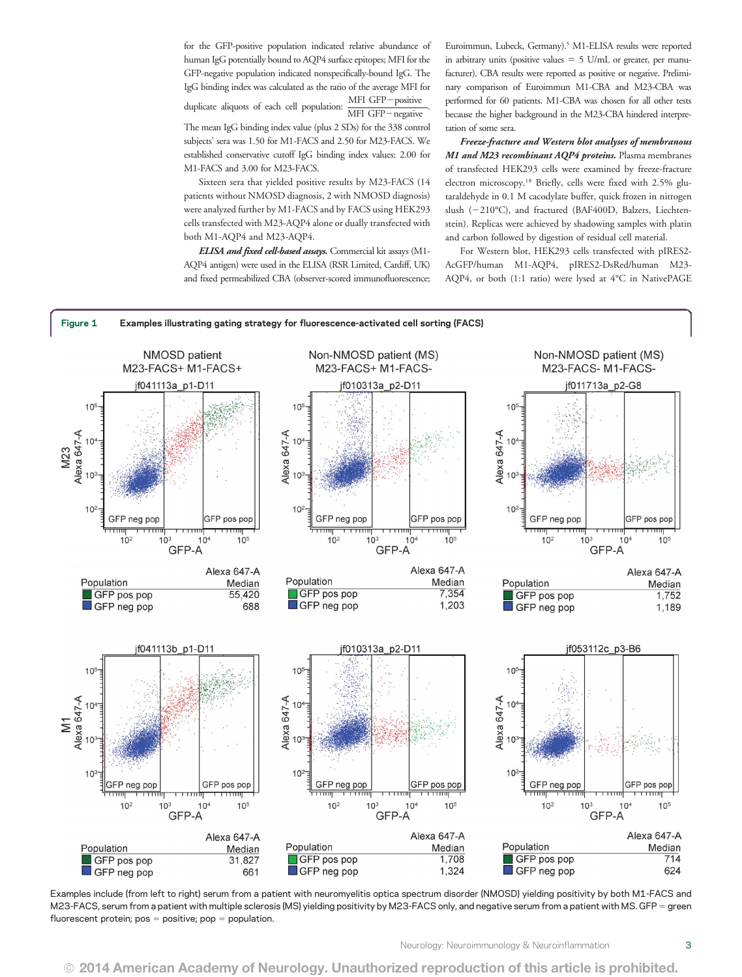for the GFP-positive population indicated relative abundance of human IgG potentially bound to AQP4 surface epitopes; MFI for the GFP-negative population indicated nonspecifically-bound IgG. The IgG binding index was calculated as the ratio of the average MFI for

duplicate aliquots of each cell population:  $\frac{\text{MFI GFP}-\text{positive}}{\text{MFI GFP}}$  $\overline{\text{MFI GFP}-\text{negative}}$ 

The mean IgG binding index value (plus 2 SDs) for the 338 control subjects' sera was 1.50 for M1-FACS and 2.50 for M23-FACS. We established conservative cutoff IgG binding index values: 2.00 for M1-FACS and 3.00 for M23-FACS.

Sixteen sera that yielded positive results by M23-FACS (14 patients without NMOSD diagnosis, 2 with NMOSD diagnosis) were analyzed further by M1-FACS and by FACS using HEK293 cells transfected with M23-AQP4 alone or dually transfected with both M1-AQP4 and M23-AQP4.

ELISA and fixed cell-based assays. Commercial kit assays (M1-AQP4 antigen) were used in the ELISA (RSR Limited, Cardiff, UK) and fixed permeabilized CBA (observer-scored immunofluorescence; Euroimmun, Lubeck, Germany).<sup>5</sup> M1-ELISA results were reported in arbitrary units (positive values  $=$  5 U/mL or greater, per manufacturer). CBA results were reported as positive or negative. Preliminary comparison of Euroimmun M1-CBA and M23-CBA was performed for 60 patients. M1-CBA was chosen for all other tests because the higher background in the M23-CBA hindered interpretation of some sera.

Freeze-fracture and Western blot analyses of membranous M1 and M23 recombinant AQP4 proteins. Plasma membranes of transfected HEK293 cells were examined by freeze-fracture electron microscopy.18 Briefly, cells were fixed with 2.5% glutaraldehyde in 0.1 M cacodylate buffer, quick frozen in nitrogen slush (-210°C), and fractured (BAF400D, Balzers, Liechtenstein). Replicas were achieved by shadowing samples with platin and carbon followed by digestion of residual cell material.

For Western blot, HEK293 cells transfected with pIRES2- AcGFP/human M1-AQP4, pIRES2-DsRed/human M23- AQP4, or both (1:1 ratio) were lysed at 4°C in NativePAGE



Examples include (from left to right) serum from a patient with neuromyelitis optica spectrum disorder (NMOSD) yielding positivity by both M1-FACS and M23-FACS, serum from a patient with multiple sclerosis (MS) yielding positivity by M23-FACS only, and negative serum from a patient with MS. GFP = green fluorescent protein;  $pos = positive$ ;  $pop = population$ .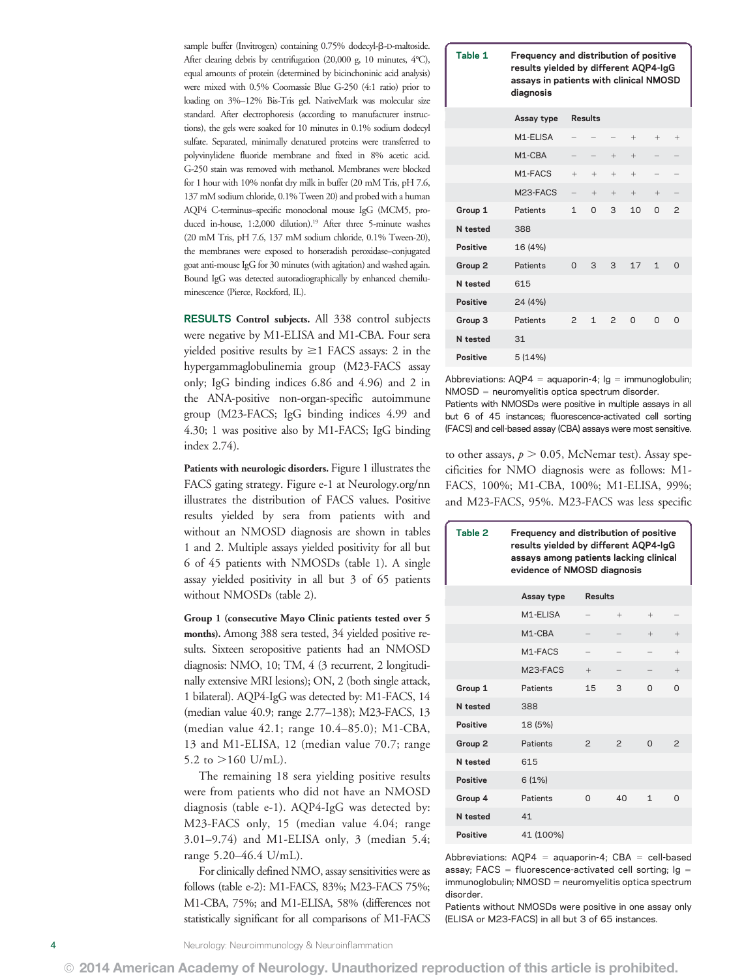sample buffer (Invitrogen) containing 0.75% dodecyl- $\beta$ -D-maltoside. After clearing debris by centrifugation (20,000 g, 10 minutes, 4°C), equal amounts of protein (determined by bicinchoninic acid analysis) were mixed with 0.5% Coomassie Blue G-250 (4:1 ratio) prior to loading on 3%–12% Bis-Tris gel. NativeMark was molecular size standard. After electrophoresis (according to manufacturer instructions), the gels were soaked for 10 minutes in 0.1% sodium dodecyl sulfate. Separated, minimally denatured proteins were transferred to polyvinylidene fluoride membrane and fixed in 8% acetic acid. G-250 stain was removed with methanol. Membranes were blocked for 1 hour with 10% nonfat dry milk in buffer (20 mM Tris, pH 7.6, 137 mM sodium chloride, 0.1% Tween 20) and probed with a human AQP4 C-terminus–specific monoclonal mouse IgG (MCM5, produced in-house, 1:2,000 dilution).<sup>19</sup> After three 5-minute washes (20 mM Tris, pH 7.6, 137 mM sodium chloride, 0.1% Tween-20), the membranes were exposed to horseradish peroxidase–conjugated goat anti-mouse IgG for 30 minutes (with agitation) and washed again. Bound IgG was detected autoradiographically by enhanced chemiluminescence (Pierce, Rockford, IL).

RESULTS Control subjects. All 338 control subjects were negative by M1-ELISA and M1-CBA. Four sera yielded positive results by  $\geq$  I FACS assays: 2 in the hypergammaglobulinemia group (M23-FACS assay only; IgG binding indices 6.86 and 4.96) and 2 in the ANA-positive non-organ-specific autoimmune group (M23-FACS; IgG binding indices 4.99 and 4.30; 1 was positive also by M1-FACS; IgG binding index 2.74).

Patients with neurologic disorders. Figure 1 illustrates the FACS gating strategy. Figure e-1 at [Neurology.org/nn](http://nn.Neurology.org/lookup/doi/10.1212/NXI.0000000000000011) illustrates the distribution of FACS values. Positive results yielded by sera from patients with and without an NMOSD diagnosis are shown in tables 1 and 2. Multiple assays yielded positivity for all but 6 of 45 patients with NMOSDs (table 1). A single assay yielded positivity in all but 3 of 65 patients without NMOSDs (table 2).

Group 1 (consecutive Mayo Clinic patients tested over 5 months). Among 388 sera tested, 34 yielded positive results. Sixteen seropositive patients had an NMOSD diagnosis: NMO, 10; TM, 4 (3 recurrent, 2 longitudinally extensive MRI lesions); ON, 2 (both single attack, 1 bilateral). AQP4-IgG was detected by: M1-FACS, 14 (median value 40.9; range 2.77–138); M23-FACS, 13 (median value 42.1; range 10.4–85.0); M1-CBA, 13 and M1-ELISA, 12 (median value 70.7; range 5.2 to  $>160$  U/mL).

The remaining 18 sera yielding positive results were from patients who did not have an NMOSD diagnosis (table e-1). AQP4-IgG was detected by: M23-FACS only, 15 (median value 4.04; range 3.01–9.74) and M1-ELISA only, 3 (median 5.4; range 5.20–46.4 U/mL).

For clinically defined NMO, assay sensitivities were as follows (table e-2): M1-FACS, 83%; M23-FACS 75%; M1-CBA, 75%; and M1-ELISA, 58% (differences not statistically significant for all comparisons of M1-FACS

| Table 1 | Frequency and distribution of positive |
|---------|----------------------------------------|
|         | results yielded by different AQP4-IgG  |
|         | assays in patients with clinical NMOSD |
|         | diagnosis                              |

|                 | Assay type            | Results           |               |                |              |              |                |
|-----------------|-----------------------|-------------------|---------------|----------------|--------------|--------------|----------------|
|                 | M <sub>1-FI</sub> ISA |                   |               |                | $^{+}$       | $^{+}$       | $^{+}$         |
|                 | M <sub>1</sub> -CBA   |                   |               | $^{+}$         | $^{+}$       |              |                |
|                 | M <sub>1-FACS</sub>   | $+$               | $+$           | $^{+}$         | $^{+}$       |              |                |
|                 | M23-FACS              | $\qquad \qquad -$ | $+$           | $+$            | $+$          | $^{+}$       |                |
| Group 1         | Patients              | $\mathbf{1}$      | $\Omega$      | 3              | 10           | O            | $\overline{c}$ |
| N tested        | 388                   |                   |               |                |              |              |                |
| <b>Positive</b> | 16 (4%)               |                   |               |                |              |              |                |
| Group 2         | Patients              | $\Omega$          | $\mathcal{S}$ | $\mathcal{S}$  | 17           | $\mathbf{1}$ | $\Omega$       |
| N tested        | 615                   |                   |               |                |              |              |                |
| <b>Positive</b> | 24 (4%)               |                   |               |                |              |              |                |
| Group 3         | Patients              | $\overline{c}$    | 1             | $\overline{c}$ | $\mathsf{O}$ | $\Omega$     | O              |
| N tested        | 31                    |                   |               |                |              |              |                |
| <b>Positive</b> | 5(14%)                |                   |               |                |              |              |                |

Abbreviations:  $AQP4 = aquaporin-4;$  Ig = immunoglobulin;  $NMOSD =$  neuromyelitis optica spectrum disorder.

Patients with NMOSDs were positive in multiple assays in all but 6 of 45 instances; fluorescence-activated cell sorting (FACS) and cell-based assay (CBA) assays were most sensitive.

to other assays,  $p > 0.05$ , McNemar test). Assay specificities for NMO diagnosis were as follows: M1- FACS, 100%; M1-CBA, 100%; M1-ELISA, 99%; and M23-FACS, 95%. M23-FACS was less specific

| Table 2            | Frequency and distribution of positive<br>results yielded by different AQP4-IgG<br>assays among patients lacking clinical<br>evidence of NMOSD diagnosis |                |               |          |               |
|--------------------|----------------------------------------------------------------------------------------------------------------------------------------------------------|----------------|---------------|----------|---------------|
|                    | Assay type                                                                                                                                               | <b>Results</b> |               |          |               |
|                    | M <sub>1-FI</sub> ISA                                                                                                                                    |                | $+$           | $^{+}$   |               |
|                    | $M1 - CBA$                                                                                                                                               |                |               | $^{+}$   | $+$           |
|                    | M <sub>1-FACS</sub>                                                                                                                                      |                |               |          | $^{+}$        |
|                    | M <sub>23</sub> -FACS                                                                                                                                    | $^{+}$         |               |          | $+$           |
| Group 1            | Patients                                                                                                                                                 | 15             | 3             | $\Omega$ | $\Omega$      |
| N tested           | 388                                                                                                                                                      |                |               |          |               |
| Positive           | 18 (5%)                                                                                                                                                  |                |               |          |               |
| Group <sub>2</sub> | Patients                                                                                                                                                 | $\mathcal{P}$  | $\mathcal{P}$ | $\Omega$ | $\mathcal{P}$ |
| N tested           | 615                                                                                                                                                      |                |               |          |               |
| Positive           | 6(1%)                                                                                                                                                    |                |               |          |               |
| Group 4            | Patients                                                                                                                                                 | $\Omega$       | 40            | 1        | $\Omega$      |
| N tested           | 41                                                                                                                                                       |                |               |          |               |
| <b>Positive</b>    | 41 (100%)                                                                                                                                                |                |               |          |               |

Abbreviations:  $AQP4 = aquaporin-4$ ; CBA = cell-based assay; FACS = fluorescence-activated cell sorting;  $Ig =$ immunoglobulin; NMOSD = neuromyelitis optica spectrum disorder.

Patients without NMOSDs were positive in one assay only (ELISA or M23-FACS) in all but 3 of 65 instances.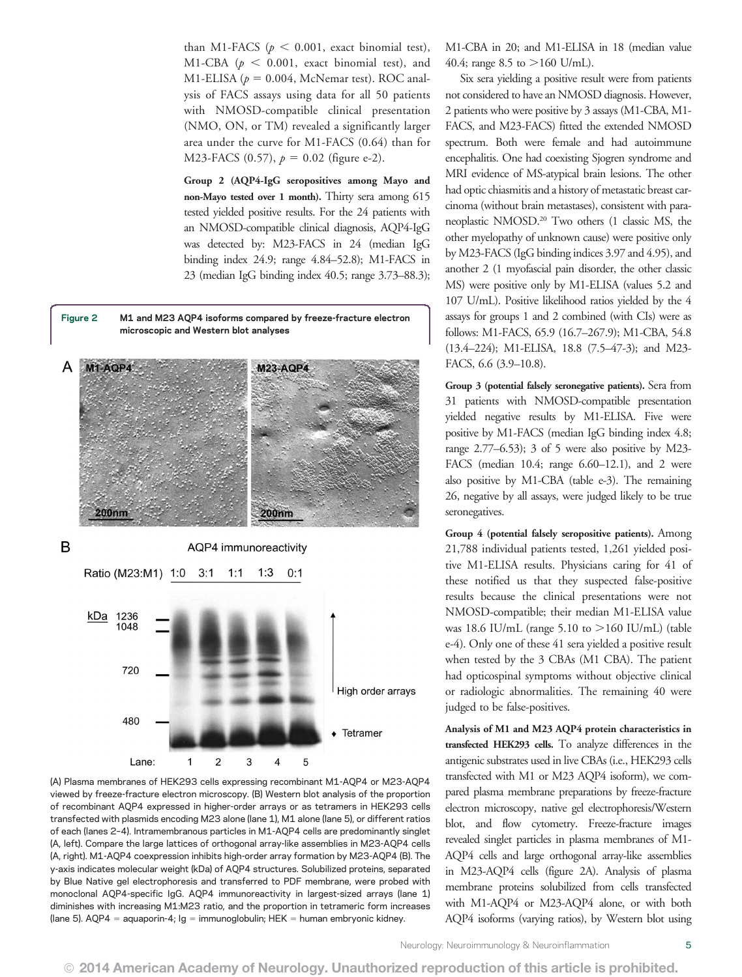than M1-FACS ( $p < 0.001$ , exact binomial test), M1-CBA ( $p < 0.001$ , exact binomial test), and M1-ELISA ( $p = 0.004$ , McNemar test). ROC analysis of FACS assays using data for all 50 patients with NMOSD-compatible clinical presentation (NMO, ON, or TM) revealed a significantly larger area under the curve for M1-FACS (0.64) than for M23-FACS (0.57),  $p = 0.02$  (figure e-2).

Group 2 (AQP4-IgG seropositives among Mayo and non-Mayo tested over 1 month). Thirty sera among 615 tested yielded positive results. For the 24 patients with an NMOSD-compatible clinical diagnosis, AQP4-IgG was detected by: M23-FACS in 24 (median IgG binding index 24.9; range 4.84–52.8); M1-FACS in 23 (median IgG binding index 40.5; range 3.73–88.3);



(A) Plasma membranes of HEK293 cells expressing recombinant M1-AQP4 or M23-AQP4 viewed by freeze-fracture electron microscopy. (B) Western blot analysis of the proportion of recombinant AQP4 expressed in higher-order arrays or as tetramers in HEK293 cells transfected with plasmids encoding M23 alone (lane 1), M1 alone (lane 5), or different ratios of each (lanes 2–4). Intramembranous particles in M1-AQP4 cells are predominantly singlet (A, left). Compare the large lattices of orthogonal array-like assemblies in M23-AQP4 cells (A, right). M1-AQP4 coexpression inhibits high-order array formation by M23-AQP4 (B). The y-axis indicates molecular weight (kDa) of AQP4 structures. Solubilized proteins, separated by Blue Native gel electrophoresis and transferred to PDF membrane, were probed with monoclonal AQP4-specific IgG. AQP4 immunoreactivity in largest-sized arrays (lane 1) diminishes with increasing M1:M23 ratio, and the proportion in tetrameric form increases (lane 5). AQP4 = aquaporin-4;  $lg = immunoglobin$ ; HEK = human embryonic kidney.

M1-CBA in 20; and M1-ELISA in 18 (median value 40.4; range 8.5 to  $>160$  U/mL).

Six sera yielding a positive result were from patients not considered to have an NMOSD diagnosis. However, 2 patients who were positive by 3 assays (M1-CBA, M1- FACS, and M23-FACS) fitted the extended NMOSD spectrum. Both were female and had autoimmune encephalitis. One had coexisting Sjogren syndrome and MRI evidence of MS-atypical brain lesions. The other had optic chiasmitis and a history of metastatic breast carcinoma (without brain metastases), consistent with paraneoplastic NMOSD.20 Two others (1 classic MS, the other myelopathy of unknown cause) were positive only by M23-FACS (IgG binding indices 3.97 and 4.95), and another 2 (1 myofascial pain disorder, the other classic MS) were positive only by M1-ELISA (values 5.2 and 107 U/mL). Positive likelihood ratios yielded by the 4 assays for groups 1 and 2 combined (with CIs) were as follows: M1-FACS, 65.9 (16.7–267.9); M1-CBA, 54.8 (13.4–224); M1-ELISA, 18.8 (7.5–47-3); and M23- FACS, 6.6 (3.9–10.8).

Group 3 (potential falsely seronegative patients). Sera from 31 patients with NMOSD-compatible presentation yielded negative results by M1-ELISA. Five were positive by M1-FACS (median IgG binding index 4.8; range 2.77–6.53); 3 of 5 were also positive by M23- FACS (median 10.4; range 6.60–12.1), and 2 were also positive by M1-CBA (table e-3). The remaining 26, negative by all assays, were judged likely to be true seronegatives.

Group 4 (potential falsely seropositive patients). Among 21,788 individual patients tested, 1,261 yielded positive M1-ELISA results. Physicians caring for 41 of these notified us that they suspected false-positive results because the clinical presentations were not NMOSD-compatible; their median M1-ELISA value was 18.6 IU/mL (range 5.10 to  $>160$  IU/mL) (table e-4). Only one of these 41 sera yielded a positive result when tested by the 3 CBAs (M1 CBA). The patient had opticospinal symptoms without objective clinical or radiologic abnormalities. The remaining 40 were judged to be false-positives.

Analysis of M1 and M23 AQP4 protein characteristics in transfected HEK293 cells. To analyze differences in the antigenic substrates used in live CBAs (i.e., HEK293 cells transfected with M1 or M23 AQP4 isoform), we compared plasma membrane preparations by freeze-fracture electron microscopy, native gel electrophoresis/Western blot, and flow cytometry. Freeze-fracture images revealed singlet particles in plasma membranes of M1- AQP4 cells and large orthogonal array-like assemblies in M23-AQP4 cells (figure 2A). Analysis of plasma membrane proteins solubilized from cells transfected with M1-AQP4 or M23-AQP4 alone, or with both AQP4 isoforms (varying ratios), by Western blot using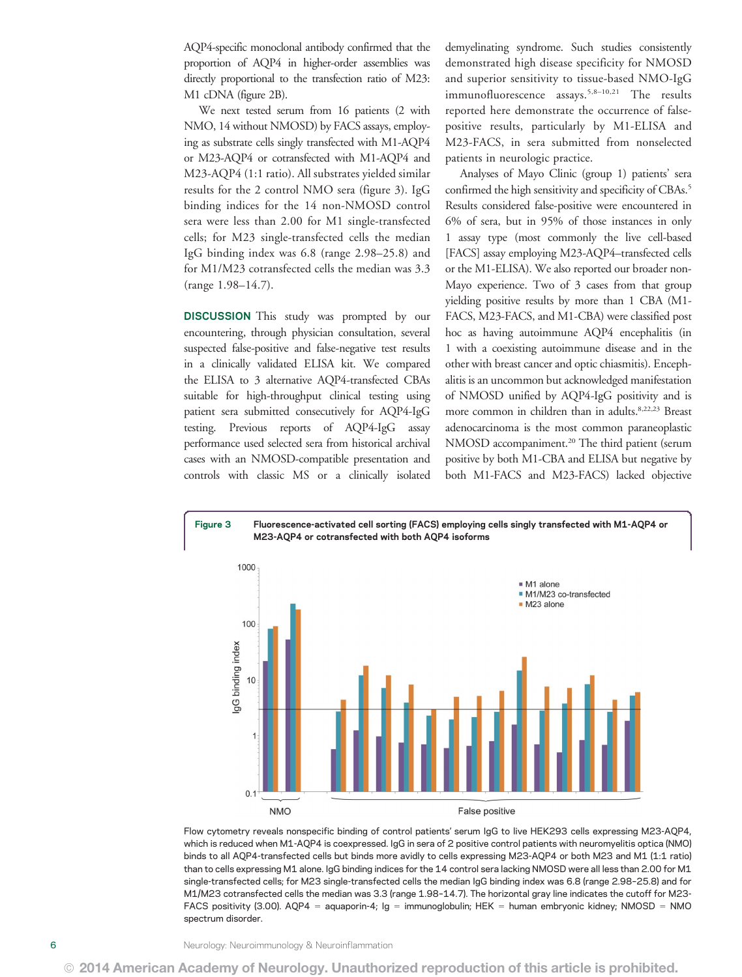AQP4-specific monoclonal antibody confirmed that the proportion of AQP4 in higher-order assemblies was directly proportional to the transfection ratio of M23: M1 cDNA (figure 2B).

We next tested serum from 16 patients (2 with NMO, 14 without NMOSD) by FACS assays, employing as substrate cells singly transfected with M1-AQP4 or M23-AQP4 or cotransfected with M1-AQP4 and M23-AQP4 (1:1 ratio). All substrates yielded similar results for the 2 control NMO sera (figure 3). IgG binding indices for the 14 non-NMOSD control sera were less than 2.00 for M1 single-transfected cells; for M23 single-transfected cells the median IgG binding index was 6.8 (range 2.98–25.8) and for M1/M23 cotransfected cells the median was 3.3 (range 1.98–14.7).

DISCUSSION This study was prompted by our encountering, through physician consultation, several suspected false-positive and false-negative test results in a clinically validated ELISA kit. We compared the ELISA to 3 alternative AQP4-transfected CBAs suitable for high-throughput clinical testing using patient sera submitted consecutively for AQP4-IgG testing. Previous reports of AQP4-IgG assay performance used selected sera from historical archival cases with an NMOSD-compatible presentation and controls with classic MS or a clinically isolated demyelinating syndrome. Such studies consistently demonstrated high disease specificity for NMOSD and superior sensitivity to tissue-based NMO-IgG immunofluorescence assays.<sup>5,8-10,21</sup> The results reported here demonstrate the occurrence of falsepositive results, particularly by M1-ELISA and M23-FACS, in sera submitted from nonselected patients in neurologic practice.

Analyses of Mayo Clinic (group 1) patients' sera confirmed the high sensitivity and specificity of CBAs.<sup>5</sup> Results considered false-positive were encountered in 6% of sera, but in 95% of those instances in only 1 assay type (most commonly the live cell-based [FACS] assay employing M23-AQP4–transfected cells or the M1-ELISA). We also reported our broader non-Mayo experience. Two of 3 cases from that group yielding positive results by more than 1 CBA (M1- FACS, M23-FACS, and M1-CBA) were classified post hoc as having autoimmune AQP4 encephalitis (in 1 with a coexisting autoimmune disease and in the other with breast cancer and optic chiasmitis). Encephalitis is an uncommon but acknowledged manifestation of NMOSD unified by AQP4-IgG positivity and is more common in children than in adults.<sup>8,22,23</sup> Breast adenocarcinoma is the most common paraneoplastic NMOSD accompaniment.<sup>20</sup> The third patient (serum positive by both M1-CBA and ELISA but negative by both M1-FACS and M23-FACS) lacked objective



Flow cytometry reveals nonspecific binding of control patients' serum IgG to live HEK293 cells expressing M23-AQP4, which is reduced when M1-AQP4 is coexpressed. IgG in sera of 2 positive control patients with neuromyelitis optica (NMO) binds to all AQP4-transfected cells but binds more avidly to cells expressing M23-AQP4 or both M23 and M1 (1:1 ratio) than to cells expressing M1 alone. IgG binding indices for the 14 control sera lacking NMOSD were all less than 2.00 for M1 single-transfected cells; for M23 single-transfected cells the median IgG binding index was 6.8 (range 2.98–25.8) and for M1/M23 cotransfected cells the median was 3.3 (range 1.98–14.7). The horizontal gray line indicates the cutoff for M23- FACS positivity (3.00). AQP4 = aquaporin-4; Ig = immunoglobulin; HEK = human embryonic kidney; NMOSD = NMO spectrum disorder.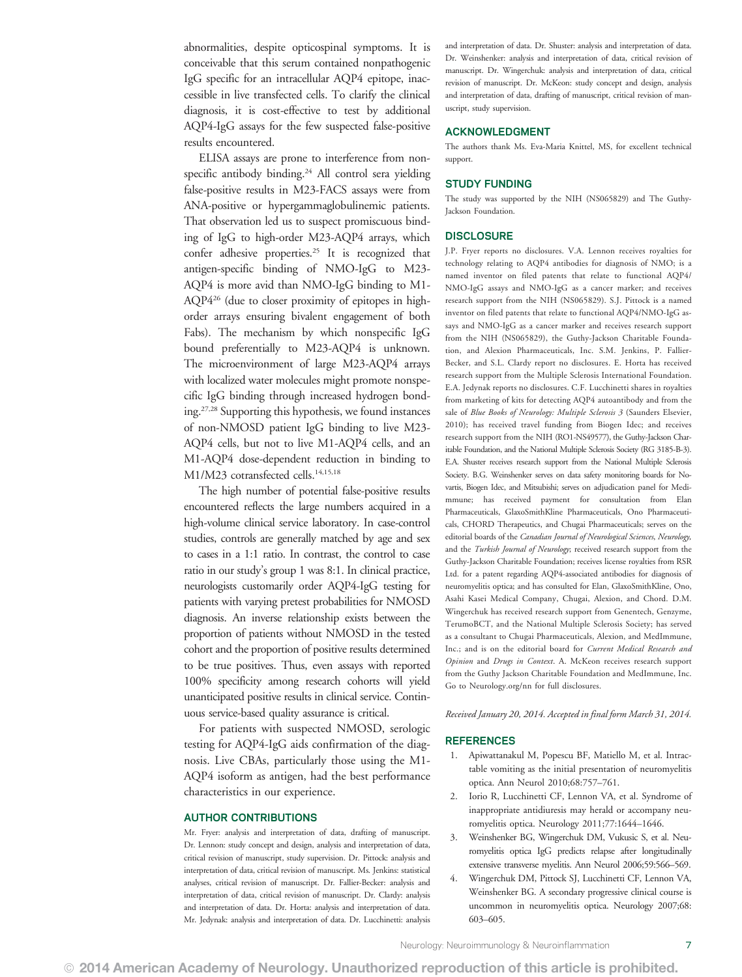abnormalities, despite opticospinal symptoms. It is conceivable that this serum contained nonpathogenic IgG specific for an intracellular AQP4 epitope, inaccessible in live transfected cells. To clarify the clinical diagnosis, it is cost-effective to test by additional AQP4-IgG assays for the few suspected false-positive results encountered.

ELISA assays are prone to interference from nonspecific antibody binding.<sup>24</sup> All control sera yielding false-positive results in M23-FACS assays were from ANA-positive or hypergammaglobulinemic patients. That observation led us to suspect promiscuous binding of IgG to high-order M23-AQP4 arrays, which confer adhesive properties.<sup>25</sup> It is recognized that antigen-specific binding of NMO-IgG to M23- AQP4 is more avid than NMO-IgG binding to M1- AQP426 (due to closer proximity of epitopes in highorder arrays ensuring bivalent engagement of both Fabs). The mechanism by which nonspecific IgG bound preferentially to M23-AQP4 is unknown. The microenvironment of large M23-AQP4 arrays with localized water molecules might promote nonspecific IgG binding through increased hydrogen bonding.27,28 Supporting this hypothesis, we found instances of non-NMOSD patient IgG binding to live M23- AQP4 cells, but not to live M1-AQP4 cells, and an M1-AQP4 dose-dependent reduction in binding to M1/M23 cotransfected cells.<sup>14,15,18</sup>

The high number of potential false-positive results encountered reflects the large numbers acquired in a high-volume clinical service laboratory. In case-control studies, controls are generally matched by age and sex to cases in a 1:1 ratio. In contrast, the control to case ratio in our study's group 1 was 8:1. In clinical practice, neurologists customarily order AQP4-IgG testing for patients with varying pretest probabilities for NMOSD diagnosis. An inverse relationship exists between the proportion of patients without NMOSD in the tested cohort and the proportion of positive results determined to be true positives. Thus, even assays with reported 100% specificity among research cohorts will yield unanticipated positive results in clinical service. Continuous service-based quality assurance is critical.

For patients with suspected NMOSD, serologic testing for AQP4-IgG aids confirmation of the diagnosis. Live CBAs, particularly those using the M1- AQP4 isoform as antigen, had the best performance characteristics in our experience.

### AUTHOR CONTRIBUTIONS

Mr. Fryer: analysis and interpretation of data, drafting of manuscript. Dr. Lennon: study concept and design, analysis and interpretation of data, critical revision of manuscript, study supervision. Dr. Pittock: analysis and interpretation of data, critical revision of manuscript. Ms. Jenkins: statistical analyses, critical revision of manuscript. Dr. Fallier-Becker: analysis and interpretation of data, critical revision of manuscript. Dr. Clardy: analysis and interpretation of data. Dr. Horta: analysis and interpretation of data. Mr. Jedynak: analysis and interpretation of data. Dr. Lucchinetti: analysis and interpretation of data. Dr. Shuster: analysis and interpretation of data. Dr. Weinshenker: analysis and interpretation of data, critical revision of manuscript. Dr. Wingerchuk: analysis and interpretation of data, critical revision of manuscript. Dr. McKeon: study concept and design, analysis and interpretation of data, drafting of manuscript, critical revision of manuscript, study supervision.

### ACKNOWLEDGMENT

The authors thank Ms. Eva-Maria Knittel, MS, for excellent technical support.

### STUDY FUNDING

The study was supported by the NIH (NS065829) and The Guthy-Jackson Foundation.

### **DISCLOSURE**

J.P. Fryer reports no disclosures. V.A. Lennon receives royalties for technology relating to AQP4 antibodies for diagnosis of NMO; is a named inventor on filed patents that relate to functional AQP4/ NMO-IgG assays and NMO-IgG as a cancer marker; and receives research support from the NIH (NS065829). S.J. Pittock is a named inventor on filed patents that relate to functional AQP4/NMO-IgG assays and NMO-IgG as a cancer marker and receives research support from the NIH (NS065829), the Guthy-Jackson Charitable Foundation, and Alexion Pharmaceuticals, Inc. S.M. Jenkins, P. Fallier-Becker, and S.L. Clardy report no disclosures. E. Horta has received research support from the Multiple Sclerosis International Foundation. E.A. Jedynak reports no disclosures. C.F. Lucchinetti shares in royalties from marketing of kits for detecting AQP4 autoantibody and from the sale of Blue Books of Neurology: Multiple Sclerosis 3 (Saunders Elsevier, 2010); has received travel funding from Biogen Idec; and receives research support from the NIH (RO1-NS49577), the Guthy-Jackson Charitable Foundation, and the National Multiple Sclerosis Society (RG 3185-B-3). E.A. Shuster receives research support from the National Multiple Sclerosis Society. B.G. Weinshenker serves on data safety monitoring boards for Novartis, Biogen Idec, and Mitsubishi; serves on adjudication panel for Medimmune; has received payment for consultation from Elan Pharmaceuticals, GlaxoSmithKline Pharmaceuticals, Ono Pharmaceuticals, CHORD Therapeutics, and Chugai Pharmaceuticals; serves on the editorial boards of the Canadian Journal of Neurological Sciences, Neurology, and the Turkish Journal of Neurology; received research support from the Guthy-Jackson Charitable Foundation; receives license royalties from RSR Ltd. for a patent regarding AQP4-associated antibodies for diagnosis of neuromyelitis optica; and has consulted for Elan, GlaxoSmithKline, Ono, Asahi Kasei Medical Company, Chugai, Alexion, and Chord. D.M. Wingerchuk has received research support from Genentech, Genzyme, TerumoBCT, and the National Multiple Sclerosis Society; has served as a consultant to Chugai Pharmaceuticals, Alexion, and MedImmune, Inc.; and is on the editorial board for Current Medical Research and Opinion and Drugs in Context. A. McKeon receives research support from the Guthy Jackson Charitable Foundation and MedImmune, Inc. Go to [Neurology.org/nn](http://nn.Neurology.org/lookup/doi/10.1212/NXI.0000000000000011) for full disclosures.

Received January 20, 2014. Accepted in final form March 31, 2014.

### REFERENCES

- 1. Apiwattanakul M, Popescu BF, Matiello M, et al. Intractable vomiting as the initial presentation of neuromyelitis optica. Ann Neurol 2010;68:757–761.
- 2. Iorio R, Lucchinetti CF, Lennon VA, et al. Syndrome of inappropriate antidiuresis may herald or accompany neuromyelitis optica. Neurology 2011;77:1644–1646.
- 3. Weinshenker BG, Wingerchuk DM, Vukusic S, et al. Neuromyelitis optica IgG predicts relapse after longitudinally extensive transverse myelitis. Ann Neurol 2006;59:566–569.
- 4. Wingerchuk DM, Pittock SJ, Lucchinetti CF, Lennon VA, Weinshenker BG. A secondary progressive clinical course is uncommon in neuromyelitis optica. Neurology 2007;68: 603–605.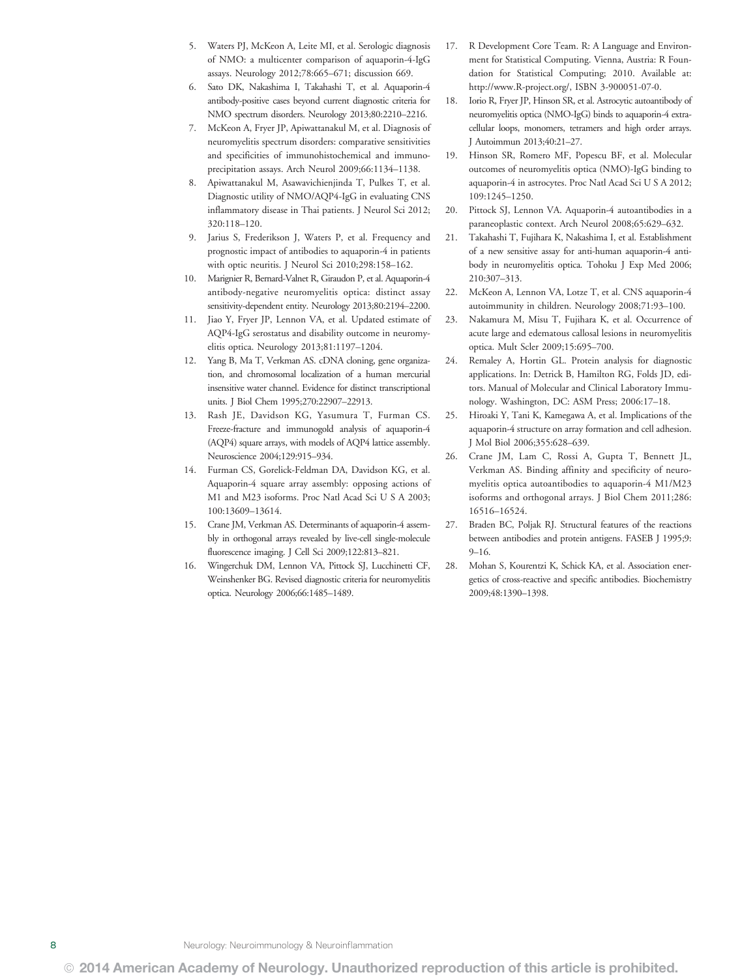- 5. Waters PJ, McKeon A, Leite MI, et al. Serologic diagnosis of NMO: a multicenter comparison of aquaporin-4-IgG assays. Neurology 2012;78:665–671; discussion 669.
- 6. Sato DK, Nakashima I, Takahashi T, et al. Aquaporin-4 antibody-positive cases beyond current diagnostic criteria for NMO spectrum disorders. Neurology 2013;80:2210–2216.
- 7. McKeon A, Fryer JP, Apiwattanakul M, et al. Diagnosis of neuromyelitis spectrum disorders: comparative sensitivities and specificities of immunohistochemical and immunoprecipitation assays. Arch Neurol 2009;66:1134–1138.
- 8. Apiwattanakul M, Asawavichienjinda T, Pulkes T, et al. Diagnostic utility of NMO/AQP4-IgG in evaluating CNS inflammatory disease in Thai patients. J Neurol Sci 2012; 320:118–120.
- 9. Jarius S, Frederikson J, Waters P, et al. Frequency and prognostic impact of antibodies to aquaporin-4 in patients with optic neuritis. J Neurol Sci 2010;298:158–162.
- 10. Marignier R, Bernard-Valnet R, Giraudon P, et al. Aquaporin-4 antibody-negative neuromyelitis optica: distinct assay sensitivity-dependent entity. Neurology 2013;80:2194–2200.
- 11. Jiao Y, Fryer JP, Lennon VA, et al. Updated estimate of AQP4-IgG serostatus and disability outcome in neuromyelitis optica. Neurology 2013;81:1197–1204.
- 12. Yang B, Ma T, Verkman AS. cDNA cloning, gene organization, and chromosomal localization of a human mercurial insensitive water channel. Evidence for distinct transcriptional units. J Biol Chem 1995;270:22907–22913.
- 13. Rash JE, Davidson KG, Yasumura T, Furman CS. Freeze-fracture and immunogold analysis of aquaporin-4 (AQP4) square arrays, with models of AQP4 lattice assembly. Neuroscience 2004;129:915–934.
- 14. Furman CS, Gorelick-Feldman DA, Davidson KG, et al. Aquaporin-4 square array assembly: opposing actions of M1 and M23 isoforms. Proc Natl Acad Sci U S A 2003; 100:13609–13614.
- 15. Crane JM, Verkman AS. Determinants of aquaporin-4 assembly in orthogonal arrays revealed by live-cell single-molecule fluorescence imaging. J Cell Sci 2009;122:813–821.
- 16. Wingerchuk DM, Lennon VA, Pittock SJ, Lucchinetti CF, Weinshenker BG. Revised diagnostic criteria for neuromyelitis optica. Neurology 2006;66:1485–1489.
- 17. R Development Core Team. R: A Language and Environment for Statistical Computing. Vienna, Austria: R Foundation for Statistical Computing; 2010. Available at: [http://www.R-project.org/,](http://www.R-project.org/) ISBN 3-900051-07-0.
- 18. Iorio R, Fryer JP, Hinson SR, et al. Astrocytic autoantibody of neuromyelitis optica (NMO-IgG) binds to aquaporin-4 extracellular loops, monomers, tetramers and high order arrays. J Autoimmun 2013;40:21–27.
- 19. Hinson SR, Romero MF, Popescu BF, et al. Molecular outcomes of neuromyelitis optica (NMO)-IgG binding to aquaporin-4 in astrocytes. Proc Natl Acad Sci U S A 2012; 109:1245–1250.
- 20. Pittock SJ, Lennon VA. Aquaporin-4 autoantibodies in a paraneoplastic context. Arch Neurol 2008;65:629–632.
- 21. Takahashi T, Fujihara K, Nakashima I, et al. Establishment of a new sensitive assay for anti-human aquaporin-4 antibody in neuromyelitis optica. Tohoku J Exp Med 2006; 210:307–313.
- 22. McKeon A, Lennon VA, Lotze T, et al. CNS aquaporin-4 autoimmunity in children. Neurology 2008;71:93–100.
- 23. Nakamura M, Misu T, Fujihara K, et al. Occurrence of acute large and edematous callosal lesions in neuromyelitis optica. Mult Scler 2009;15:695–700.
- 24. Remaley A, Hortin GL. Protein analysis for diagnostic applications. In: Detrick B, Hamilton RG, Folds JD, editors. Manual of Molecular and Clinical Laboratory Immunology. Washington, DC: ASM Press; 2006:17–18.
- 25. Hiroaki Y, Tani K, Kamegawa A, et al. Implications of the aquaporin-4 structure on array formation and cell adhesion. J Mol Biol 2006;355:628–639.
- 26. Crane JM, Lam C, Rossi A, Gupta T, Bennett JL, Verkman AS. Binding affinity and specificity of neuromyelitis optica autoantibodies to aquaporin-4 M1/M23 isoforms and orthogonal arrays. J Biol Chem 2011;286: 16516–16524.
- 27. Braden BC, Poljak RJ. Structural features of the reactions between antibodies and protein antigens. FASEB J 1995;9:  $9-16.$
- 28. Mohan S, Kourentzi K, Schick KA, et al. Association energetics of cross-reactive and specific antibodies. Biochemistry 2009;48:1390–1398.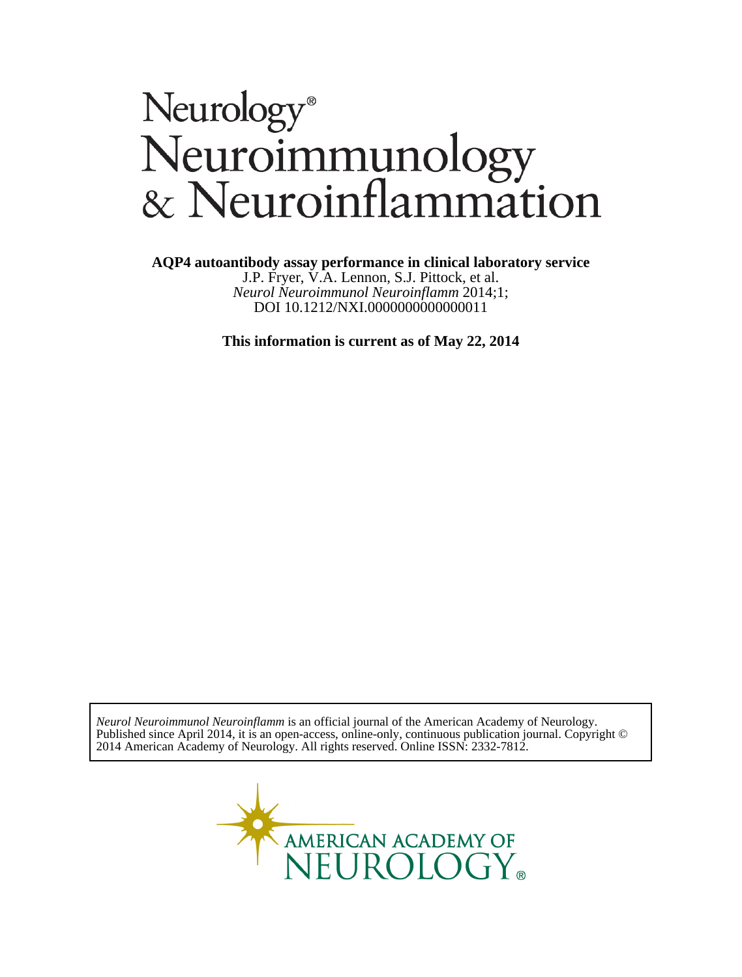# Neurology®<br>Neuroimmunology<br>& Neuroinflammation

**AQP4 autoantibody assay performance in clinical laboratory service**

DOI 10.1212/NXI.0000000000000011 *Neurol Neuroimmunol Neuroinflamm* 2014;1; J.P. Fryer, V.A. Lennon, S.J. Pittock, et al.

**This information is current as of May 22, 2014**

2014 American Academy of Neurology. All rights reserved. Online ISSN: 2332-7812. Published since April 2014, it is an open-access, online-only, continuous publication journal. Copyright © *Neurol Neuroimmunol Neuroinflamm* is an official journal of the American Academy of Neurology.